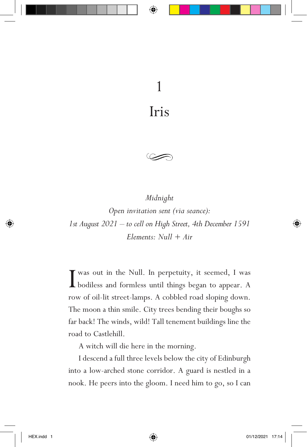Iris



*Midnight Open invitation sent (via seance): 1st August 2021 – to cell on High Street, 4th December 1591 Elements: Null + Air*

I was out in the Null. In perpetuity, it seemed, I was bodiless and formless until things began to appear. A bodiless and formless until things began to appear. A row of oil-lit street-lamps. A cobbled road sloping down. The moon a thin smile. City trees bending their boughs so far back! The winds, wild! Tall tenement buildings line the road to Castlehill.

A witch will die here in the morning.

I descend a full three levels below the city of Edinburgh into a low-arched stone corridor. A guard is nestled in a nook. He peers into the gloom. I need him to go, so I can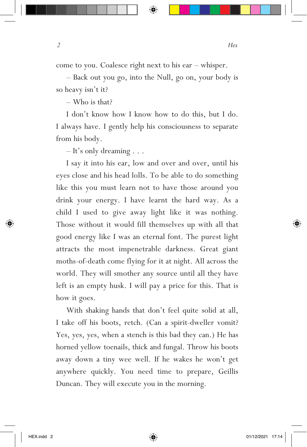come to you. Coalesce right next to his ear – whisper.

– Back out you go, into the Null, go on, your body is so heavy isn't it?

– Who is that?

I don't know how I know how to do this, but I do. I always have. I gently help his consciousness to separate from his body.

– It's only dreaming . . .

I say it into his ear, low and over and over, until his eyes close and his head lolls. To be able to do something like this you must learn not to have those around you drink your energy. I have learnt the hard way. As a child I used to give away light like it was nothing. Those without it would fill themselves up with all that good energy like I was an eternal font. The purest light attracts the most impenetrable darkness. Great giant moths-of-death come flying for it at night. All across the world. They will smother any source until all they have left is an empty husk. I will pay a price for this. That is how it goes.

With shaking hands that don't feel quite solid at all, I take off his boots, retch. (Can a spirit-dweller vomit? Yes, yes, yes, when a stench is this bad they can.) He has horned yellow toenails, thick and fungal. Throw his boots away down a tiny wee well. If he wakes he won't get anywhere quickly. You need time to prepare, Geillis Duncan. They will execute you in the morning.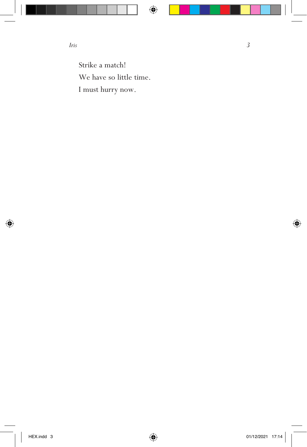Strike a match! We have so little time. I must hurry now.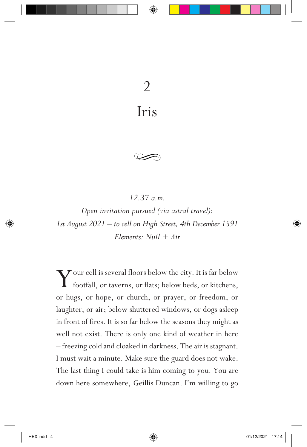## 2 Iris

*12.37 a.m.*

*Open invitation pursued (via astral travel): 1st August 2021 – to cell on High Street, 4th December 1591 Elements: Null + Air*

 $\sum$  our cell is several floors below the city. It is far below<br>footfall or taxerns or flats below  $\frac{1}{2}$ footfall, or taverns, or flats; below beds, or kitchens, or hugs, or hope, or church, or prayer, or freedom, or laughter, or air; below shuttered windows, or dogs asleep in front of fires. It is so far below the seasons they might as well not exist. There is only one kind of weather in here – freezing cold and cloaked in darkness. The air is stagnant. I must wait a minute. Make sure the guard does not wake. The last thing I could take is him coming to you. You are down here somewhere, Geillis Duncan. I'm willing to go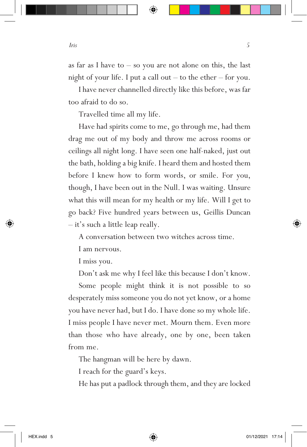as far as I have to  $-$  so you are not alone on this, the last night of your life. I put a call out – to the ether – for you.

I have never channelled directly like this before, was far too afraid to do so.

Travelled time all my life.

Have had spirits come to me, go through me, had them drag me out of my body and throw me across rooms or ceilings all night long. I have seen one half-naked, just out the bath, holding a big knife. I heard them and hosted them before I knew how to form words, or smile. For you, though, I have been out in the Null. I was waiting. Unsure what this will mean for my health or my life. Will I get to go back? Five hundred years between us, Geillis Duncan – it's such a little leap really.

A conversation between two witches across time.

I am nervous.

I miss you.

Don't ask me why I feel like this because I don't know.

Some people might think it is not possible to so desperately miss someone you do not yet know, or a home you have never had, but I do. I have done so my whole life. I miss people I have never met. Mourn them. Even more than those who have already, one by one, been taken from me.

The hangman will be here by dawn.

I reach for the guard's keys.

He has put a padlock through them, and they are locked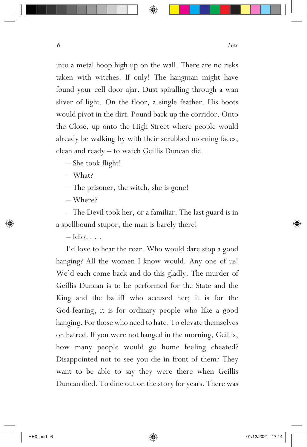into a metal hoop high up on the wall. There are no risks taken with witches. If only! The hangman might have found your cell door ajar. Dust spiralling through a wan sliver of light. On the floor, a single feather. His boots would pivot in the dirt. Pound back up the corridor. Onto the Close, up onto the High Street where people would already be walking by with their scrubbed morning faces, clean and ready – to watch Geillis Duncan die.

– She took flight!

– What?

– The prisoner, the witch, she is gone!

– Where?

– The Devil took her, or a familiar. The last guard is in a spellbound stupor, the man is barely there!

 $-$ Idiot  $\ldots$ 

I'd love to hear the roar. Who would dare stop a good hanging? All the women I know would. Any one of us! We'd each come back and do this gladly. The murder of Geillis Duncan is to be performed for the State and the King and the bailiff who accused her; it is for the God-fearing, it is for ordinary people who like a good hanging. For those who need to hate. To elevate themselves on hatred. If you were not hanged in the morning, Geillis, how many people would go home feeling cheated? Disappointed not to see you die in front of them? They want to be able to say they were there when Geillis Duncan died. To dine out on the story for years. There was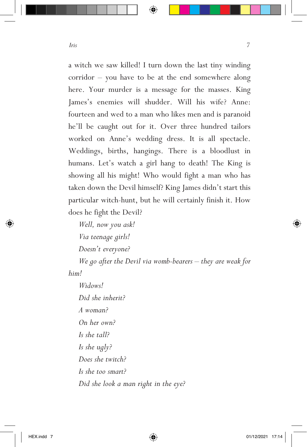a witch we saw killed! I turn down the last tiny winding corridor – you have to be at the end somewhere along here. Your murder is a message for the masses. King James's enemies will shudder. Will his wife? Anne: fourteen and wed to a man who likes men and is paranoid he'll be caught out for it. Over three hundred tailors worked on Anne's wedding dress. It is all spectacle. Weddings, births, hangings. There is a bloodlust in humans. Let's watch a girl hang to death! The King is showing all his might! Who would fight a man who has taken down the Devil himself? King James didn't start this particular witch-hunt, but he will certainly finish it. How does he fight the Devil?

*Well, now you ask! Via teenage girls! Doesn't everyone?*

*We go after the Devil via womb-bearers – they are weak for him!*

*Widows! Did she inherit? A woman? On her own? Is she tall? Is she ugly? Does she twitch? Is she too smart? Did she look a man right in the eye?*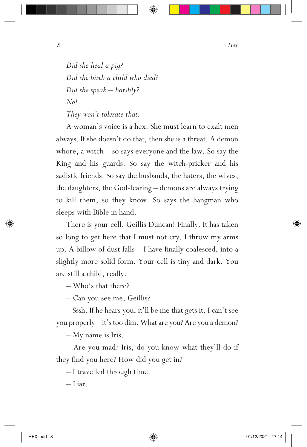*Did she heal a pig? Did she birth a child who died? Did she speak – harshly? No!*

*They won't tolerate that.*

A woman's voice is a hex. She must learn to exalt men always. If she doesn't do that, then she is a threat. A demon whore, a witch – so says everyone and the law. So say the King and his guards. So say the witch-pricker and his sadistic friends. So say the husbands, the haters, the wives, the daughters, the God-fearing – demons are always trying to kill them, so they know. So says the hangman who sleeps with Bible in hand.

There is your cell, Geillis Duncan! Finally. It has taken so long to get here that I must not cry. I throw my arms up. A billow of dust falls – I have finally coalesced, into a slightly more solid form. Your cell is tiny and dark. You are still a child, really.

– Who's that there?

– Can you see me, Geillis?

– Sssh. If he hears you, it'll be me that gets it. I can't see you properly – it's too dim. What are you? Are you a demon?

– My name is Iris.

– Are you mad? Iris, do you know what they'll do if they find you here? How did you get in?

– I travelled through time.

– Liar.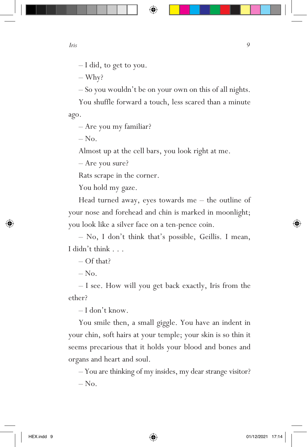– I did, to get to you.

– Why?

– So you wouldn't be on your own on this of all nights.

You shuffle forward a touch, less scared than a minute ago.

– Are you my familiar?

 $-$  No.

Almost up at the cell bars, you look right at me.

– Are you sure?

Rats scrape in the corner.

You hold my gaze.

Head turned away, eyes towards me – the outline of your nose and forehead and chin is marked in moonlight; you look like a silver face on a ten-pence coin.

– No, I don't think that's possible, Geillis. I mean, I didn't think . . .

– Of that?

 $-$  No.

– I see. How will you get back exactly, Iris from the ether?

– I don't know.

You smile then, a small giggle. You have an indent in your chin, soft hairs at your temple; your skin is so thin it seems precarious that it holds your blood and bones and organs and heart and soul.

– You are thinking of my insides, my dear strange visitor?  $-$  No.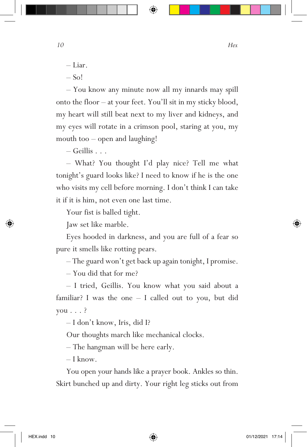– Liar.

 $-$  So!

– You know any minute now all my innards may spill onto the floor – at your feet. You'll sit in my sticky blood, my heart will still beat next to my liver and kidneys, and my eyes will rotate in a crimson pool, staring at you, my mouth too – open and laughing!

 $-$  Geillis  $\ldots$ 

– What? You thought I'd play nice? Tell me what tonight's guard looks like? I need to know if he is the one who visits my cell before morning. I don't think I can take it if it is him, not even one last time.

Your fist is balled tight.

Jaw set like marble.

Eyes hooded in darkness, and you are full of a fear so pure it smells like rotting pears.

– The guard won't get back up again tonight, I promise.

– You did that for me?

– I tried, Geillis. You know what you said about a familiar? I was the one – I called out to you, but did you . . . ?

– I don't know, Iris, did I?

Our thoughts march like mechanical clocks.

– The hangman will be here early.

– I know.

You open your hands like a prayer book. Ankles so thin. Skirt bunched up and dirty. Your right leg sticks out from